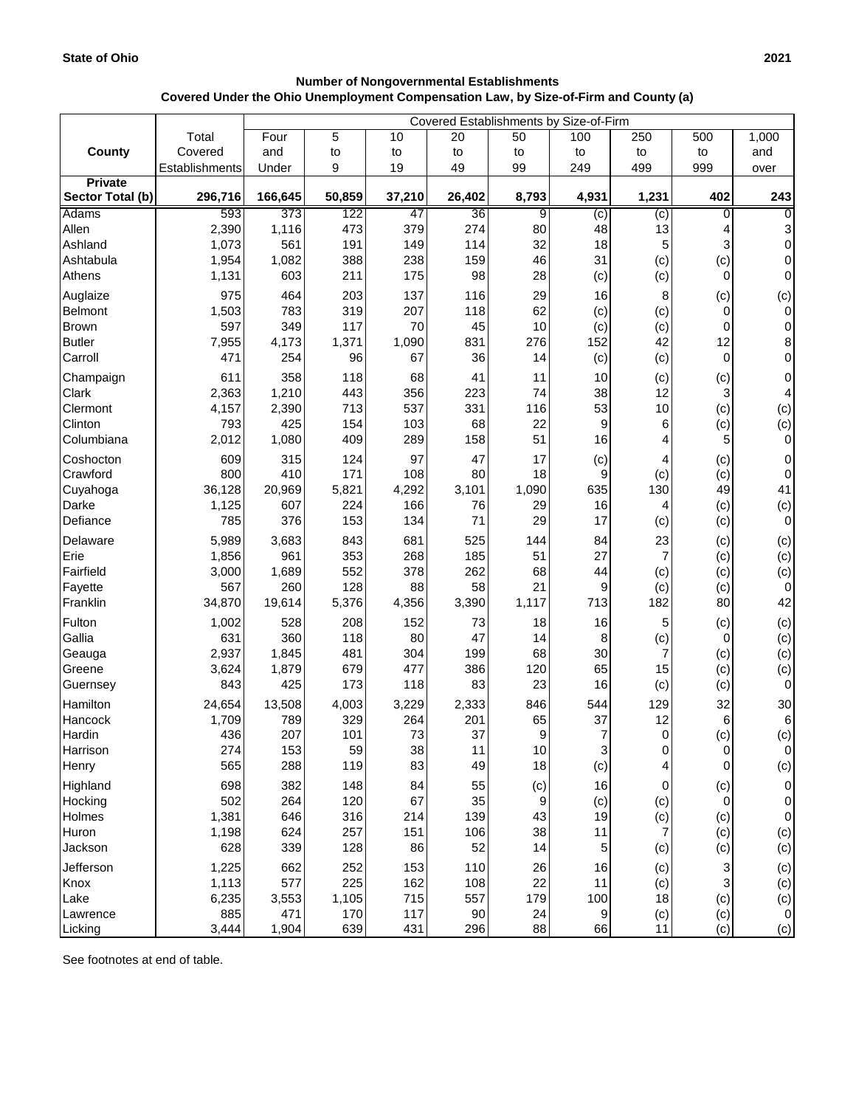## **Number of Nongovernmental Establishments Covered Under the Ohio Unemployment Compensation Law, by Size-of-Firm and County (a)**

|                                    |                | Covered Establishments by Size-of-Firm |            |            |           |                |                |                |           |                       |
|------------------------------------|----------------|----------------------------------------|------------|------------|-----------|----------------|----------------|----------------|-----------|-----------------------|
|                                    | Total          | Four                                   | 5          | 10         | 20        | 50             | 100            | 250            | 500       | 1,000                 |
| County                             | Covered        | and                                    | to         | to         | to        | to             | to             | to             | to        | and                   |
|                                    | Establishments | Under                                  | 9          | 19         | 49        | 99             | 249            | 499            | 999       | over                  |
| <b>Private</b><br>Sector Total (b) | 296,716        | 166,645                                | 50,859     | 37,210     | 26,402    | 8,793          | 4,931          | 1,231          | 402       | 243                   |
| <b>Adams</b>                       | 593            | 373                                    | 122        | 47         | 36        | $\overline{9}$ | $\overline{c}$ | $\overline{c}$ | $\Omega$  | $\overline{0}$        |
| Allen                              | 2,390          | 1,116                                  | 473        | 379        | 274       | 80             | 48             | 13             | 4         | 3                     |
| Ashland                            | 1,073          | 561                                    | 191        | 149        | 114       | 32             | 18             | 5              | 3         | $\pmb{0}$             |
| Ashtabula                          | 1,954          | 1,082                                  | 388        | 238        | 159       | 46             | 31             | (c)            | (c)       | $\overline{0}$        |
| Athens                             | 1,131          | 603                                    | 211        | 175        | 98        | 28             | (c)            | (c)            | 0         | $\overline{0}$        |
| Auglaize                           | 975            | 464                                    | 203        | 137        | 116       | 29             | 16             | 8              | (c)       | (c)                   |
| Belmont                            | 1,503          | 783                                    | 319        | 207        | 118       | 62             | (c)            | (c)            | $\Omega$  | $\overline{0}$        |
| <b>Brown</b>                       | 597            | 349                                    | 117        | 70         | 45        | 10             | (c)            | (c)            | 0         | $\pmb{0}$             |
| <b>Butler</b>                      | 7,955          | 4,173                                  | 1,371      | 1,090      | 831       | 276            | 152            | 42             | 12        | 8                     |
| Carroll                            | 471            | 254                                    | 96         | 67         | 36        | 14             | (c)            | (c)            | $\Omega$  | 0                     |
| Champaign                          | 611            | 358                                    | 118        | 68         | 41        | 11             | 10             | (c)            | (c)       | $\mathbf 0$           |
| Clark                              | 2,363          | 1,210                                  | 443        | 356        | 223       | 74             | 38             | 12             | 3         | 4                     |
| Clermont<br>Clinton                | 4,157          | 2,390                                  | 713        | 537        | 331       | 116            | 53             | 10             | (c)       | (c)                   |
| Columbiana                         | 793<br>2,012   | 425<br>1,080                           | 154<br>409 | 103<br>289 | 68<br>158 | 22<br>51       | 9<br>16        | 6<br>4         | (c)<br>5  | (c)<br>0              |
|                                    |                |                                        |            |            |           |                |                |                |           |                       |
| Coshocton<br>Crawford              | 609<br>800     | 315<br>410                             | 124<br>171 | 97<br>108  | 47<br>80  | 17<br>18       | (c)<br>9       | 4              | (c)       | 0                     |
| Cuyahoga                           | 36,128         | 20,969                                 | 5,821      | 4,292      | 3,101     | 1,090          | 635            | (c)<br>130     | (c)<br>49 | 0<br>41               |
| Darke                              | 1,125          | 607                                    | 224        | 166        | 76        | 29             | 16             | 4              | (c)       | (c)                   |
| Defiance                           | 785            | 376                                    | 153        | 134        | 71        | 29             | 17             | (c)            | (c)       | $\overline{0}$        |
| Delaware                           | 5,989          | 3,683                                  | 843        | 681        | 525       | 144            | 84             | 23             | (c)       | (c)                   |
| Erie                               | 1,856          | 961                                    | 353        | 268        | 185       | 51             | 27             | $\overline{7}$ | (c)       | (c)                   |
| Fairfield                          | 3,000          | 1,689                                  | 552        | 378        | 262       | 68             | 44             | (c)            | (c)       | (c)                   |
| Fayette                            | 567            | 260                                    | 128        | 88         | 58        | 21             | 9              | (c)            | (c)       | $\overline{0}$        |
| Franklin                           | 34,870         | 19,614                                 | 5,376      | 4,356      | 3,390     | 1,117          | 713            | 182            | 80        | 42                    |
| Fulton                             | 1,002          | 528                                    | 208        | 152        | 73        | 18             | 16             | 5              | (c)       | (c)                   |
| Gallia                             | 631            | 360                                    | 118        | 80         | 47        | 14             | 8              | (c)            | 0         | (c)                   |
| Geauga                             | 2,937          | 1,845                                  | 481        | 304        | 199       | 68             | 30             | $\overline{7}$ | (c)       | (c)                   |
| Greene                             | 3,624          | 1,879                                  | 679        | 477        | 386       | 120            | 65             | 15             | (c)       | (c)                   |
| Guernsey                           | 843            | 425                                    | 173        | 118        | 83        | 23             | 16             | (c)            | (c)       | $\overline{0}$        |
| Hamilton<br>Hancock                | 24,654         | 13,508                                 | 4,003      | 3,229      | 2,333     | 846<br>65      | 544<br>37      | 129<br>12      | 32        | 30                    |
| Hardin                             | 1,709<br>436   | 789<br>207                             | 329<br>101 | 264<br>73  | 201<br>37 | Q              |                | $\Omega$       | 6         | $6 \overline{6}$      |
| Harrison                           | 274            | 153                                    | 59         | 38         | 11        | 10             | 3              | 0              | (c)<br>0  | (c)<br>$\overline{0}$ |
| Henry                              | 565            | 288                                    | 119        | 83         | 49        | 18             | (c)            | 4              | 0         | (c)                   |
| Highland                           | 698            | 382                                    | 148        | 84         | 55        | (c)            | 16             | 0              | (c)       | $\overline{0}$        |
| Hocking                            | 502            | 264                                    | 120        | 67         | 35        | 9              | (c)            | (c)            | 0         | $\pmb{0}$             |
| Holmes                             | 1,381          | 646                                    | 316        | 214        | 139       | 43             | 19             | (c)            | (c)       | $\pmb{0}$             |
| Huron                              | 1,198          | 624                                    | 257        | 151        | 106       | 38             | 11             | 7              | (c)       | (c)                   |
| Jackson                            | 628            | 339                                    | 128        | 86         | 52        | 14             | 5              | (c)            | (c)       | (c)                   |
| Jefferson                          | 1,225          | 662                                    | 252        | 153        | 110       | 26             | 16             | (c)            |           | (c)                   |
| Knox                               | 1,113          | 577                                    | 225        | 162        | 108       | 22             | 11             | (c)            |           | (c)                   |
| Lake                               | 6,235          | 3,553                                  | 1,105      | 715        | 557       | 179            | 100            | 18             | (c)       | (c)                   |
| Lawrence                           | 885            | 471                                    | 170        | 117        | 90        | 24             | 9              | (c)            | (c)       | $\overline{0}$        |
| Licking                            | 3,444          | 1,904                                  | 639        | 431        | 296       | 88             | 66             | 11             | (c)       | (c)                   |

See footnotes at end of table.